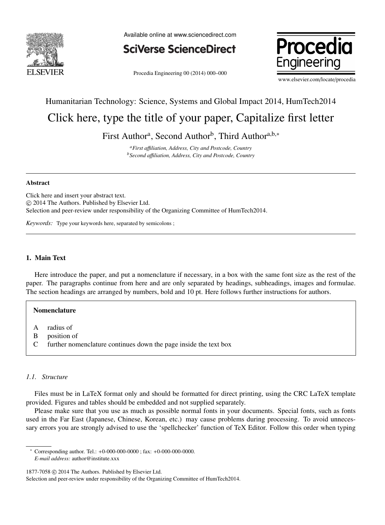

Available online at www.sciencedirect.com



Procedia Engineering 00 (2014) 000–000



www.elsevier.com/locate/procedia

# Humanitarian Technology: Science, Systems and Global Impact 2014, HumTech2014 Click here, type the title of your paper, Capitalize first letter

First Author<sup>a</sup>, Second Author<sup>b</sup>, Third Author<sup>a,b,\*</sup>

*<sup>a</sup>First a*ffi*liation, Address, City and Postcode, Country <sup>b</sup>Second a*ffi*liation, Address, City and Postcode, Country*

#### Abstract

Click here and insert your abstract text. c 2014 The Authors. Published by Elsevier Ltd. Selection and peer-review under responsibility of the Organizing Committee of HumTech2014.

*Keywords:* Type your keywords here, separated by semicolons ;

#### 1. Main Text

Here introduce the paper, and put a nomenclature if necessary, in a box with the same font size as the rest of the paper. The paragraphs continue from here and are only separated by headings, subheadings, images and formulae. The section headings are arranged by numbers, bold and 10 pt. Here follows further instructions for authors.

# Nomenclature

- A radius of
- B position of
- C further nomenclature continues down the page inside the text box

#### *1.1. Structure*

Files must be in LaTeX format only and should be formatted for direct printing, using the CRC LaTeX template provided. Figures and tables should be embedded and not supplied separately.

Please make sure that you use as much as possible normal fonts in your documents. Special fonts, such as fonts used in the Far East (Japanese, Chinese, Korean, etc.) may cause problems during processing. To avoid unnecessary errors you are strongly advised to use the 'spellchecker' function of TeX Editor. Follow this order when typing

<sup>∗</sup> Corresponding author. Tel.: +0-000-000-0000 ; fax: +0-000-000-0000. *E-mail address:* author@institute.xxx

1877-7058  $\odot$  2014 The Authors. Published by Elsevier Ltd.

Selection and peer-review under responsibility of the Organizing Committee of HumTech2014.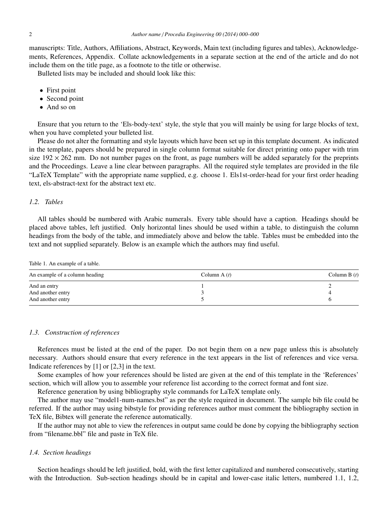manuscripts: Title, Authors, Affiliations, Abstract, Keywords, Main text (including figures and tables), Acknowledgements, References, Appendix. Collate acknowledgements in a separate section at the end of the article and do not include them on the title page, as a footnote to the title or otherwise.

Bulleted lists may be included and should look like this:

- First point
- Second point
- And so on

Ensure that you return to the 'Els-body-text' style, the style that you will mainly be using for large blocks of text, when you have completed your bulleted list.

Please do not alter the formatting and style layouts which have been set up in this template document. As indicated in the template, papers should be prepared in single column format suitable for direct printing onto paper with trim size  $192 \times 262$  mm. Do not number pages on the front, as page numbers will be added separately for the preprints and the Proceedings. Leave a line clear between paragraphs. All the required style templates are provided in the file "LaTeX Template" with the appropriate name supplied, e.g. choose 1. Els1st-order-head for your first order heading text, els-abstract-text for the abstract text etc.

# *1.2. Tables*

All tables should be numbered with Arabic numerals. Every table should have a caption. Headings should be placed above tables, left justified. Only horizontal lines should be used within a table, to distinguish the column headings from the body of the table, and immediately above and below the table. Tables must be embedded into the text and not supplied separately. Below is an example which the authors may find useful.

Table 1. An example of a table.

| An example of a column heading | Column A $(t)$ | Column B $(t)$ |
|--------------------------------|----------------|----------------|
| And an entry                   |                |                |
| And another entry              |                |                |
| And another entry              |                |                |

## *1.3. Construction of references*

References must be listed at the end of the paper. Do not begin them on a new page unless this is absolutely necessary. Authors should ensure that every reference in the text appears in the list of references and vice versa. Indicate references by [1] or [2,3] in the text.

Some examples of how your references should be listed are given at the end of this template in the 'References' section, which will allow you to assemble your reference list according to the correct format and font size.

Reference generation by using bibliography style commands for LaTeX template only.

The author may use "model1-num-names.bst" as per the style required in document. The sample bib file could be referred. If the author may using bibstyle for providing references author must comment the bibliography section in TeX file, Bibtex will generate the reference automatically.

If the author may not able to view the references in output same could be done by copying the bibliography section from "filename.bbl" file and paste in TeX file.

#### *1.4. Section headings*

Section headings should be left justified, bold, with the first letter capitalized and numbered consecutively, starting with the Introduction. Sub-section headings should be in capital and lower-case italic letters, numbered 1.1, 1.2,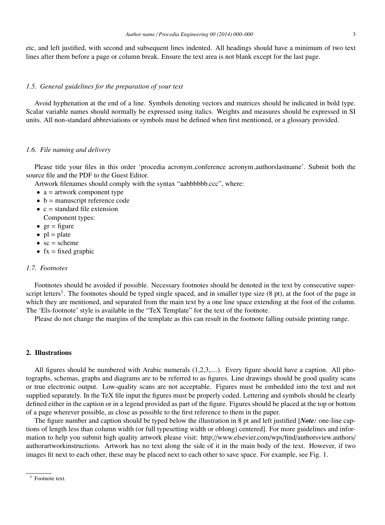etc, and left justified, with second and subsequent lines indented. All headings should have a minimum of two text lines after them before a page or column break. Ensure the text area is not blank except for the last page.

#### *1.5. General guidelines for the preparation of your text*

Avoid hyphenation at the end of a line. Symbols denoting vectors and matrices should be indicated in bold type. Scalar variable names should normally be expressed using italics. Weights and measures should be expressed in SI units. All non-standard abbreviations or symbols must be defined when first mentioned, or a glossary provided.

#### *1.6. File naming and delivery*

Please title your files in this order 'procedia acronym conference acronym authorslastname'. Submit both the source file and the PDF to the Guest Editor.

Artwork filenames should comply with the syntax "aabbbbbb.ccc", where:

- $\bullet$  a = artwork component type
- $\bullet$  b = manuscript reference code
- $\bullet$  c = standard file extension
- Component types:
- $gr = figure$
- $pl = plate$
- $sc = scheme$
- $fx = fixed graphic$

## *1.7. Footnotes*

Footnotes should be avoided if possible. Necessary footnotes should be denoted in the text by consecutive superscript letters<sup>1</sup>. The footnotes should be typed single spaced, and in smaller type size (8 pt), at the foot of the page in which they are mentioned, and separated from the main text by a one line space extending at the foot of the column. The 'Els-footnote' style is available in the "TeX Template" for the text of the footnote.

Please do not change the margins of the template as this can result in the footnote falling outside printing range.

## 2. Illustrations

All figures should be numbered with Arabic numerals (1,2,3,....). Every figure should have a caption. All photographs, schemas, graphs and diagrams are to be referred to as figures. Line drawings should be good quality scans or true electronic output. Low-quality scans are not acceptable. Figures must be embedded into the text and not supplied separately. In the TeX file input the figures must be properly coded. Lettering and symbols should be clearly defined either in the caption or in a legend provided as part of the figure. Figures should be placed at the top or bottom of a page wherever possible, as close as possible to the first reference to them in the paper.

The figure number and caption should be typed below the illustration in 8 pt and left justified [*Note:* one-line captions of length less than column width (or full typesetting width or oblong) centered]. For more guidelines and information to help you submit high quality artwork please visit: http://www.elsevier.com/wps/find/authorsview.authors/ authorartworkinstructions. Artwork has no text along the side of it in the main body of the text. However, if two images fit next to each other, these may be placed next to each other to save space. For example, see Fig. 1.

 $1$  Footnote text.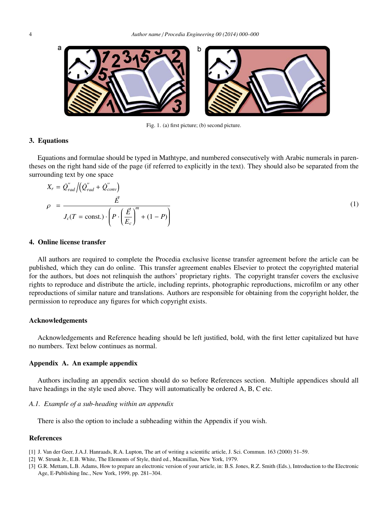

Fig. 1. (a) first picture; (b) second picture.

## 3. Equations

Equations and formulae should be typed in Mathtype, and numbered consecutively with Arabic numerals in parentheses on the right hand side of the page (if referred to explicitly in the text). They should also be separated from the surrounding text by one space

$$
X_r = \dot{Q}_{rad}'' / (\dot{Q}_{rad}'' + \dot{Q}_{conv}'')
$$
  
\n
$$
\rho = \frac{\vec{E}}{J_c(T = \text{const.}) \cdot \left( P \cdot \left( \frac{\vec{E}}{E_c} \right)^m + (1 - P) \right)}
$$
\n(1)

# 4. Online license transfer

All authors are required to complete the Procedia exclusive license transfer agreement before the article can be published, which they can do online. This transfer agreement enables Elsevier to protect the copyrighted material for the authors, but does not relinquish the authors' proprietary rights. The copyright transfer covers the exclusive rights to reproduce and distribute the article, including reprints, photographic reproductions, microfilm or any other reproductions of similar nature and translations. Authors are responsible for obtaining from the copyright holder, the permission to reproduce any figures for which copyright exists.

#### Acknowledgements

Acknowledgements and Reference heading should be left justified, bold, with the first letter capitalized but have no numbers. Text below continues as normal.

#### Appendix A. An example appendix

Authors including an appendix section should do so before References section. Multiple appendices should all have headings in the style used above. They will automatically be ordered A, B, C etc.

#### *A.1. Example of a sub-heading within an appendix*

There is also the option to include a subheading within the Appendix if you wish.

# References

- [1] J. Van der Geer, J.A.J. Hanraads, R.A. Lupton, The art of writing a scientific article, J. Sci. Commun. 163 (2000) 51–59.
- [2] W. Strunk Jr., E.B. White, The Elements of Style, third ed., Macmillan, New York, 1979.
- [3] G.R. Mettam, L.B. Adams, How to prepare an electronic version of your article, in: B.S. Jones, R.Z. Smith (Eds.), Introduction to the Electronic Age, E-Publishing Inc., New York, 1999, pp. 281–304.